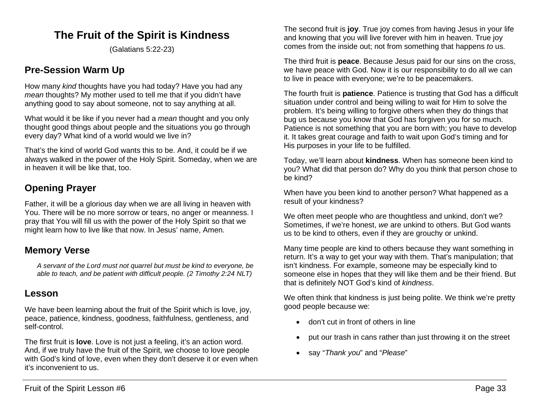# **The Fruit of the Spirit is Kindness**

(Galatians 5:22-23)

## **Pre-Session Warm Up**

How many *kind* thoughts have you had today? Have you had any *mean* thoughts? My mother used to tell me that if you didn't have anything good to say about someone, not to say anything at all.

What would it be like if you never had a *mean* thought and you only thought good things about people and the situations you go through every day? What kind of a world would we live in?

That's the kind of world God wants this to be. And, it could be if we always walked in the power of the Holy Spirit. Someday, when we are in heaven it will be like that, too.

## **Opening Prayer**

Father, it will be a glorious day when we are all living in heaven with You. There will be no more sorrow or tears, no anger or meanness. I pray that You will fill us with the power of the Holy Spirit so that we might learn how to live like that now. In Jesus' name, Amen.

### **Memory Verse**

*A servant of the Lord must not quarrel but must be kind to everyone, be able to teach, and be patient with difficult people. (2 Timothy 2:24 NLT)*

### **Lesson**

We have been learning about the fruit of the Spirit which is love, joy, peace, patience, kindness, goodness, faithfulness, gentleness, and self-control.

The first fruit is **love**. Love is not just a feeling, it's an action word. And, if we truly have the fruit of the Spirit, we choose to love people with God's kind of love, even when they don't deserve it or even when it's inconvenient to us.

The second fruit is **joy**. True joy comes from having Jesus in your life and knowing that you will live forever with him in heaven. True joy comes from the inside out; not from something that happens *to* us.

The third fruit is **peace**. Because Jesus paid for our sins on the cross, we have peace with God. Now it is our responsibility to do all we can to live in peace with everyone; we're to be peacemakers.

The fourth fruit is **patience**. Patience is trusting that God has a difficult situation under control and being willing to wait for Him to solve the problem. It's being willing to forgive others when they do things that bug us because you know that God has forgiven you for so much. Patience is not something that you are born with; you have to develop it. It takes great courage and faith to wait upon God's timing and for His purposes in your life to be fulfilled.

Today, we'll learn about **kindness**. When has someone been kind to you? What did that person do? Why do you think that person chose to be kind?

When have you been kind to another person? What happened as a result of your kindness?

We often meet people who are thoughtless and unkind, don't we? Sometimes, if we're honest, *we* are unkind to others. But God wants us to be kind to others, even if they are grouchy or unkind.

Many time people are kind to others because they want something in return. It's a way to get your way with them. That's manipulation; that isn't kindness. For example, someone may be especially kind to someone else in hopes that they will like them and be their friend. But that is definitely NOT God's kind of *kindness*.

We often think that kindness is just being polite. We think we're pretty good people because we:

- don't cut in front of others in line
- put our trash in cans rather than just throwing it on the street
- say "*Thank you*" and "*Please*"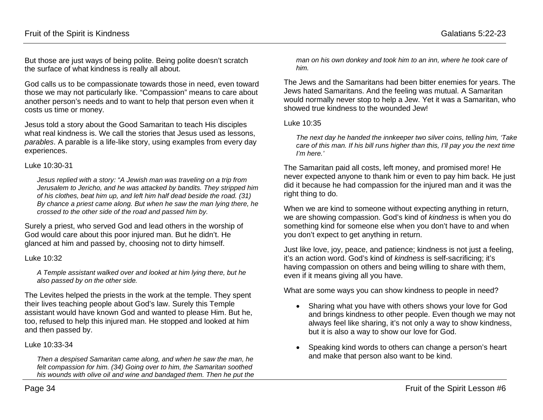But those are just ways of being polite. Being polite doesn't scratch the surface of what kindness is really all about.

God calls us to be compassionate towards those in need, even toward those we may not particularly like. "Compassion" means to care about another person's needs and to want to help that person even when it costs us time or money.

Jesus told a story about the Good Samaritan to teach His disciples what real kindness is. We call the stories that Jesus used as lessons, *parables*. A parable is a life-like story, using examples from every day experiences.

#### Luke 10:30-31

*Jesus replied with a story: "A Jewish man was traveling on a trip from Jerusalem to Jericho, and he was attacked by bandits. They stripped him of his clothes, beat him up, and left him half dead beside the road. (31) By chance a priest came along. But when he saw the man lying there, he crossed to the other side of the road and passed him by.*

Surely a priest, who served God and lead others in the worship of God would care about this poor injured man. But he didn't. He glanced at him and passed by, choosing not to dirty himself.

#### Luke 10:32

*A Temple assistant walked over and looked at him lying there, but he also passed by on the other side.*

The Levites helped the priests in the work at the temple. They spent their lives teaching people about God's law. Surely this Temple assistant would have known God and wanted to please Him. But he, too, refused to help this injured man. He stopped and looked at him and then passed by.

#### Luke 10:33-34

*Then a despised Samaritan came along, and when he saw the man, he felt compassion for him. (34) Going over to him, the Samaritan soothed his wounds with olive oil and wine and bandaged them. Then he put the* 

*man on his own donkey and took him to an inn, where he took care of him.*

The Jews and the Samaritans had been bitter enemies for years. The Jews hated Samaritans. And the feeling was mutual. A Samaritan would normally never stop to help a Jew. Yet it was a Samaritan, who showed true kindness to the wounded Jew!

#### Luke 10:35

*The next day he handed the innkeeper two silver coins, telling him, 'Take care of this man. If his bill runs higher than this, I'll pay you the next time I'm here.'*

The Samaritan paid all costs, left money, and promised more! He never expected anyone to thank him or even to pay him back. He just did it because he had compassion for the injured man and it was the right thing to do.

When we are kind to someone without expecting anything in return, we are showing compassion. God's kind of *kindness* is when you do something kind for someone else when you don't have to and when you don't expect to get anything in return.

Just like love, joy, peace, and patience; kindness is not just a feeling, it's an action word. God's kind of *kindness* is self-sacrificing; it's having compassion on others and being willing to share with them, even if it means giving all you have.

What are some ways you can show kindness to people in need?

- Sharing what you have with others shows your love for God and brings kindness to other people. Even though we may not always feel like sharing, it's not only a way to show kindness, but it is also a way to show our love for God.
- Speaking kind words to others can change a person's heart and make that person also want to be kind.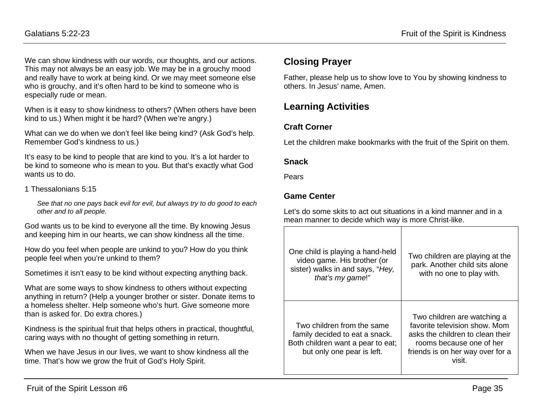We can show kindness with our words, our thoughts, and our actions. This may not always be an easy job. We may be in a grouchy mood and really have to work at being kind. Or we may meet someone else who is grouchy, and it's often hard to be kind to someone who is especially rude or mean.

When is it easy to show kindness to others? (When others have been kind to us.) When might it be hard? (When we're angry.)

What can we do when we don't feel like being kind? (Ask God's help. Remember God's kindness to us.)

It's easy to be kind to people that are kind to you. It's a lot harder to be kind to someone who is mean to you. But that's exactly what God wants us to do.

#### 1 Thessalonians 5:15

*See that no one pays back evil for evil, but always try to do good to each other and to all people.*

God wants us to be kind to everyone all the time. By knowing Jesus and keeping him in our hearts, we can show kindness all the time.

How do you feel when people are unkind to you? How do you think people feel when you're unkind to them?

Sometimes it isn't easy to be kind without expecting anything back.

What are some ways to show kindness to others without expecting anything in return? (Help a younger brother or sister. Donate items to a homeless shelter. Help someone who's hurt. Give someone more than is asked for. Do extra chores.)

Kindness is the spiritual fruit that helps others in practical, thoughtful, caring ways with no thought of getting something in return.

When we have Jesus in our lives, we want to show kindness all the time. That's how we grow the fruit of God's Holy Spirit.

### **Closing Prayer**

Father, please help us to show love to You by showing kindness to others. In Jesus' name, Amen.

## **Learning Activities**

### **Craft Corner**

Let the children make bookmarks with the fruit of the Spirit on them.

#### **Snack**

Pears

### **Game Center**

Let's do some skits to act out situations in a kind manner and in a mean manner to decide which way is more Christ-like.

| One child is playing a hand-held<br>video game. His brother (or<br>sister) walks in and says, "Hey,<br>that's my game!"         | Two children are playing at the<br>park. Another child sits alone<br>with no one to play with.                                                                             |
|---------------------------------------------------------------------------------------------------------------------------------|----------------------------------------------------------------------------------------------------------------------------------------------------------------------------|
| Two children from the same<br>family decided to eat a snack.<br>Both children want a pear to eat;<br>but only one pear is left. | Two children are watching a<br>favorite television show. Mom<br>asks the children to clean their<br>rooms because one of her<br>friends is on her way over for a<br>visit. |